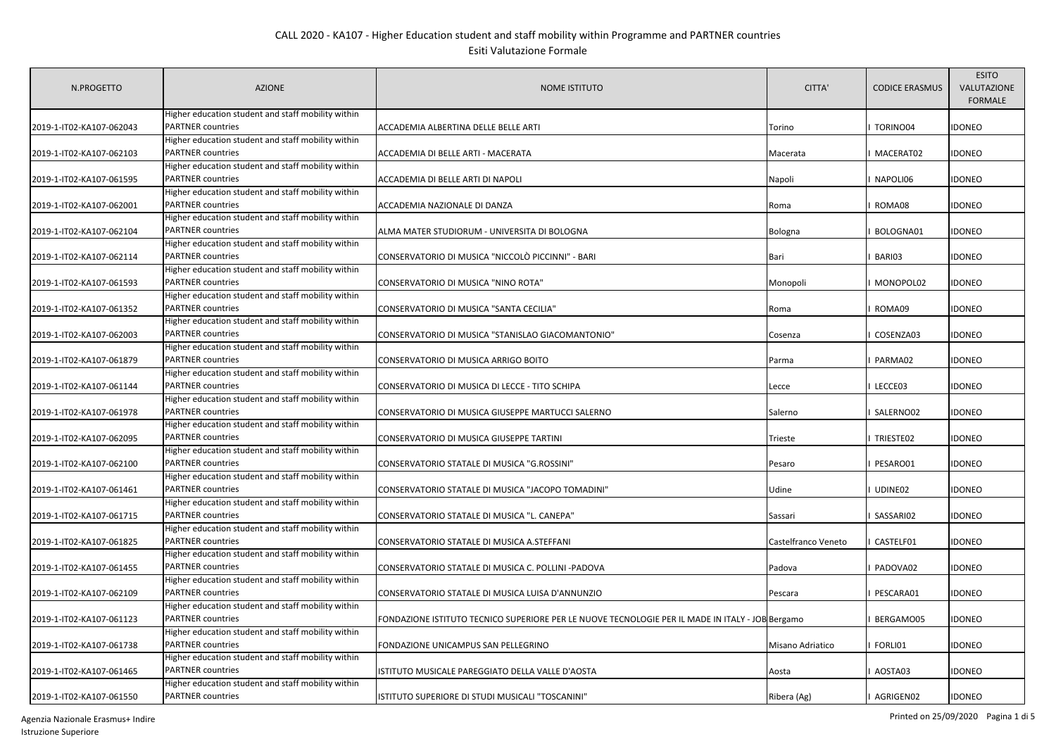| N.PROGETTO               | <b>AZIONE</b>                                                                  | <b>NOME ISTITUTO</b>                                                                             | CITTA'              | <b>CODICE ERASMUS</b> | <b>ESITO</b><br>VALUTAZIONE<br><b>FORMALE</b> |
|--------------------------|--------------------------------------------------------------------------------|--------------------------------------------------------------------------------------------------|---------------------|-----------------------|-----------------------------------------------|
| 2019-1-IT02-KA107-062043 | Higher education student and staff mobility within<br><b>PARTNER countries</b> | ACCADEMIA ALBERTINA DELLE BELLE ARTI                                                             | Torino              | TORINO04              | <b>IDONEO</b>                                 |
|                          | Higher education student and staff mobility within                             |                                                                                                  |                     |                       |                                               |
| 2019-1-IT02-KA107-062103 | <b>PARTNER countries</b>                                                       | ACCADEMIA DI BELLE ARTI - MACERATA                                                               | Macerata            | MACERAT02             | <b>IDONEO</b>                                 |
|                          | Higher education student and staff mobility within                             |                                                                                                  |                     |                       |                                               |
| 2019-1-IT02-KA107-061595 | <b>PARTNER countries</b>                                                       | ACCADEMIA DI BELLE ARTI DI NAPOLI                                                                | Napoli              | NAPOLI06              | <b>IDONEO</b>                                 |
|                          | Higher education student and staff mobility within                             |                                                                                                  |                     |                       |                                               |
| 2019-1-IT02-KA107-062001 | <b>PARTNER countries</b>                                                       | ACCADEMIA NAZIONALE DI DANZA                                                                     | Roma                | ROMA08                | <b>IDONEO</b>                                 |
|                          | Higher education student and staff mobility within                             |                                                                                                  |                     |                       |                                               |
| 2019-1-IT02-KA107-062104 | <b>PARTNER countries</b>                                                       | ALMA MATER STUDIORUM - UNIVERSITA DI BOLOGNA                                                     | Bologna             | BOLOGNA01             | <b>IDONEO</b>                                 |
|                          | Higher education student and staff mobility within                             |                                                                                                  |                     |                       |                                               |
| 2019-1-IT02-KA107-062114 | <b>PARTNER countries</b>                                                       | CONSERVATORIO DI MUSICA "NICCOLÒ PICCINNI" - BARI                                                | Bari                | BARI03                | <b>IDONEO</b>                                 |
|                          | Higher education student and staff mobility within                             |                                                                                                  |                     |                       |                                               |
| 2019-1-IT02-KA107-061593 | <b>PARTNER countries</b>                                                       | CONSERVATORIO DI MUSICA "NINO ROTA"                                                              | Monopoli            | MONOPOL02             | <b>IDONEO</b>                                 |
|                          | Higher education student and staff mobility within                             |                                                                                                  |                     |                       |                                               |
| 2019-1-IT02-KA107-061352 | <b>PARTNER countries</b>                                                       | CONSERVATORIO DI MUSICA "SANTA CECILIA"                                                          | Roma                | ROMA09                | <b>IDONEO</b>                                 |
|                          | Higher education student and staff mobility within                             |                                                                                                  |                     |                       |                                               |
| 2019-1-IT02-KA107-062003 | <b>PARTNER countries</b>                                                       | CONSERVATORIO DI MUSICA "STANISLAO GIACOMANTONIO"                                                | Cosenza             | COSENZA03             | <b>IDONEO</b>                                 |
|                          | Higher education student and staff mobility within                             |                                                                                                  |                     |                       |                                               |
| 2019-1-IT02-KA107-061879 | <b>PARTNER countries</b>                                                       | CONSERVATORIO DI MUSICA ARRIGO BOITO                                                             | Parma               | PARMA02               | <b>IDONEO</b>                                 |
|                          | Higher education student and staff mobility within                             |                                                                                                  |                     |                       |                                               |
| 2019-1-IT02-KA107-061144 | <b>PARTNER countries</b>                                                       | CONSERVATORIO DI MUSICA DI LECCE - TITO SCHIPA                                                   | Lecce               | LECCE03               | <b>IDONEO</b>                                 |
|                          | Higher education student and staff mobility within                             |                                                                                                  |                     |                       |                                               |
| 2019-1-IT02-KA107-061978 | <b>PARTNER countries</b>                                                       | CONSERVATORIO DI MUSICA GIUSEPPE MARTUCCI SALERNO                                                | Salerno             | SALERNO02             | <b>IDONEO</b>                                 |
|                          | Higher education student and staff mobility within                             |                                                                                                  |                     |                       |                                               |
| 2019-1-IT02-KA107-062095 | <b>PARTNER</b> countries                                                       | CONSERVATORIO DI MUSICA GIUSEPPE TARTINI                                                         | Trieste             | TRIESTE02             | <b>IDONEO</b>                                 |
|                          | Higher education student and staff mobility within                             |                                                                                                  |                     |                       |                                               |
| 2019-1-IT02-KA107-062100 | <b>PARTNER countries</b>                                                       | CONSERVATORIO STATALE DI MUSICA "G.ROSSINI"                                                      | Pesaro              | PESARO01              | <b>IDONEO</b>                                 |
|                          | Higher education student and staff mobility within                             |                                                                                                  |                     |                       |                                               |
| 2019-1-IT02-KA107-061461 | <b>PARTNER countries</b>                                                       | CONSERVATORIO STATALE DI MUSICA "JACOPO TOMADINI"                                                | Udine               | UDINE02               | <b>IDONEO</b>                                 |
|                          | Higher education student and staff mobility within                             |                                                                                                  |                     |                       |                                               |
| 2019-1-IT02-KA107-061715 | <b>PARTNER countries</b>                                                       | CONSERVATORIO STATALE DI MUSICA "L. CANEPA"                                                      | Sassari             | SASSARI02             | <b>IDONEO</b>                                 |
|                          | Higher education student and staff mobility within                             |                                                                                                  |                     |                       |                                               |
| 2019-1-IT02-KA107-061825 | <b>PARTNER</b> countries                                                       | CONSERVATORIO STATALE DI MUSICA A.STEFFANI                                                       | Castelfranco Veneto | CASTELF01             | <b>IDONEO</b>                                 |
|                          | Higher education student and staff mobility within<br><b>PARTNER</b> countries |                                                                                                  |                     |                       |                                               |
| 2019-1-IT02-KA107-061455 |                                                                                | CONSERVATORIO STATALE DI MUSICA C. POLLINI -PADOVA                                               | Padova              | PADOVA02              | <b>IDONEO</b>                                 |
|                          | Higher education student and staff mobility within<br><b>PARTNER countries</b> |                                                                                                  |                     |                       | <b>IDONEO</b>                                 |
| 2019-1-IT02-KA107-062109 | Higher education student and staff mobility within                             | CONSERVATORIO STATALE DI MUSICA LUISA D'ANNUNZIO                                                 | Pescara             | PESCARA01             |                                               |
| 2019-1-IT02-KA107-061123 | <b>PARTNER</b> countries                                                       | FONDAZIONE ISTITUTO TECNICO SUPERIORE PER LE NUOVE TECNOLOGIE PER IL MADE IN ITALY - JOB Bergamo |                     | BERGAMO05             | <b>IDONEO</b>                                 |
|                          | Higher education student and staff mobility within                             |                                                                                                  |                     |                       |                                               |
| 2019-1-IT02-KA107-061738 | <b>PARTNER countries</b>                                                       | FONDAZIONE UNICAMPUS SAN PELLEGRINO                                                              | Misano Adriatico    | FORLI01               | <b>IDONEO</b>                                 |
|                          | Higher education student and staff mobility within                             |                                                                                                  |                     |                       |                                               |
| 2019-1-IT02-KA107-061465 | PARTNER countries                                                              | ISTITUTO MUSICALE PAREGGIATO DELLA VALLE D'AOSTA                                                 | Aosta               | AOSTA03               | <b>IDONEO</b>                                 |
|                          | Higher education student and staff mobility within                             |                                                                                                  |                     |                       |                                               |
| 2019-1-IT02-KA107-061550 | <b>PARTNER countries</b>                                                       | ISTITUTO SUPERIORE DI STUDI MUSICALI "TOSCANINI"                                                 | Ribera (Ag)         | AGRIGEN02             | <b>IDONEO</b>                                 |
|                          |                                                                                |                                                                                                  |                     |                       |                                               |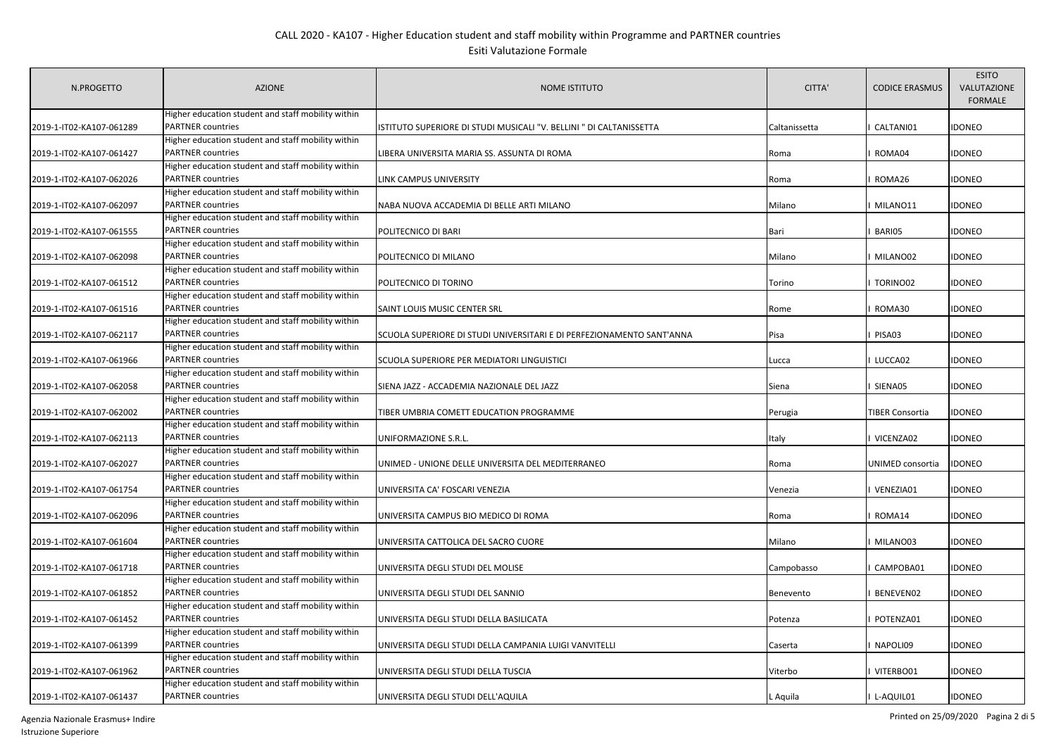| Higher education student and staff mobility within<br><b>PARTNER countries</b><br>ISTITUTO SUPERIORE DI STUDI MUSICALI "V. BELLINI " DI CALTANISSETTA<br>CALTANI01<br>2019-1-IT02-KA107-061289<br>Caltanissetta<br>Higher education student and staff mobility within<br><b>PARTNER countries</b><br>2019-1-IT02-KA107-061427<br>LIBERA UNIVERSITA MARIA SS. ASSUNTA DI ROMA<br>ROMA04<br>Roma<br>Higher education student and staff mobility within<br><b>PARTNER</b> countries<br>2019-1-IT02-KA107-062026<br>LINK CAMPUS UNIVERSITY<br>ROMA26<br>Roma<br>Higher education student and staff mobility within<br><b>PARTNER</b> countries<br>2019-1-IT02-KA107-062097<br>MILANO11<br>NABA NUOVA ACCADEMIA DI BELLE ARTI MILANO<br>Milano<br>Higher education student and staff mobility within<br><b>PARTNER</b> countries<br>BARI05<br>2019-1-IT02-KA107-061555<br>POLITECNICO DI BARI<br>Bari<br>Higher education student and staff mobility within<br><b>PARTNER countries</b><br>2019-1-IT02-KA107-062098<br>POLITECNICO DI MILANO<br>MILANO02<br>Milano<br>Higher education student and staff mobility within<br><b>PARTNER countries</b><br>2019-1-IT02-KA107-061512<br>POLITECNICO DI TORINO<br>TORINO02<br>Torino<br>Higher education student and staff mobility within<br><b>PARTNER</b> countries<br>2019-1-IT02-KA107-061516<br>SAINT LOUIS MUSIC CENTER SRL<br>ROMA30<br>Rome |               |
|--------------------------------------------------------------------------------------------------------------------------------------------------------------------------------------------------------------------------------------------------------------------------------------------------------------------------------------------------------------------------------------------------------------------------------------------------------------------------------------------------------------------------------------------------------------------------------------------------------------------------------------------------------------------------------------------------------------------------------------------------------------------------------------------------------------------------------------------------------------------------------------------------------------------------------------------------------------------------------------------------------------------------------------------------------------------------------------------------------------------------------------------------------------------------------------------------------------------------------------------------------------------------------------------------------------------------------------------------------------------------------------------|---------------|
|                                                                                                                                                                                                                                                                                                                                                                                                                                                                                                                                                                                                                                                                                                                                                                                                                                                                                                                                                                                                                                                                                                                                                                                                                                                                                                                                                                                            | <b>IDONEO</b> |
|                                                                                                                                                                                                                                                                                                                                                                                                                                                                                                                                                                                                                                                                                                                                                                                                                                                                                                                                                                                                                                                                                                                                                                                                                                                                                                                                                                                            |               |
|                                                                                                                                                                                                                                                                                                                                                                                                                                                                                                                                                                                                                                                                                                                                                                                                                                                                                                                                                                                                                                                                                                                                                                                                                                                                                                                                                                                            | <b>IDONEO</b> |
|                                                                                                                                                                                                                                                                                                                                                                                                                                                                                                                                                                                                                                                                                                                                                                                                                                                                                                                                                                                                                                                                                                                                                                                                                                                                                                                                                                                            |               |
|                                                                                                                                                                                                                                                                                                                                                                                                                                                                                                                                                                                                                                                                                                                                                                                                                                                                                                                                                                                                                                                                                                                                                                                                                                                                                                                                                                                            | <b>IDONEO</b> |
|                                                                                                                                                                                                                                                                                                                                                                                                                                                                                                                                                                                                                                                                                                                                                                                                                                                                                                                                                                                                                                                                                                                                                                                                                                                                                                                                                                                            |               |
|                                                                                                                                                                                                                                                                                                                                                                                                                                                                                                                                                                                                                                                                                                                                                                                                                                                                                                                                                                                                                                                                                                                                                                                                                                                                                                                                                                                            | <b>IDONEO</b> |
|                                                                                                                                                                                                                                                                                                                                                                                                                                                                                                                                                                                                                                                                                                                                                                                                                                                                                                                                                                                                                                                                                                                                                                                                                                                                                                                                                                                            |               |
|                                                                                                                                                                                                                                                                                                                                                                                                                                                                                                                                                                                                                                                                                                                                                                                                                                                                                                                                                                                                                                                                                                                                                                                                                                                                                                                                                                                            | <b>IDONEO</b> |
|                                                                                                                                                                                                                                                                                                                                                                                                                                                                                                                                                                                                                                                                                                                                                                                                                                                                                                                                                                                                                                                                                                                                                                                                                                                                                                                                                                                            |               |
|                                                                                                                                                                                                                                                                                                                                                                                                                                                                                                                                                                                                                                                                                                                                                                                                                                                                                                                                                                                                                                                                                                                                                                                                                                                                                                                                                                                            | <b>IDONEO</b> |
|                                                                                                                                                                                                                                                                                                                                                                                                                                                                                                                                                                                                                                                                                                                                                                                                                                                                                                                                                                                                                                                                                                                                                                                                                                                                                                                                                                                            |               |
|                                                                                                                                                                                                                                                                                                                                                                                                                                                                                                                                                                                                                                                                                                                                                                                                                                                                                                                                                                                                                                                                                                                                                                                                                                                                                                                                                                                            | <b>IDONEO</b> |
|                                                                                                                                                                                                                                                                                                                                                                                                                                                                                                                                                                                                                                                                                                                                                                                                                                                                                                                                                                                                                                                                                                                                                                                                                                                                                                                                                                                            |               |
|                                                                                                                                                                                                                                                                                                                                                                                                                                                                                                                                                                                                                                                                                                                                                                                                                                                                                                                                                                                                                                                                                                                                                                                                                                                                                                                                                                                            | <b>IDONEO</b> |
| Higher education student and staff mobility within                                                                                                                                                                                                                                                                                                                                                                                                                                                                                                                                                                                                                                                                                                                                                                                                                                                                                                                                                                                                                                                                                                                                                                                                                                                                                                                                         |               |
| <b>PARTNER countries</b><br>2019-1-IT02-KA107-062117<br>SCUOLA SUPERIORE DI STUDI UNIVERSITARI E DI PERFEZIONAMENTO SANT'ANNA<br>Pisa<br>PISA03                                                                                                                                                                                                                                                                                                                                                                                                                                                                                                                                                                                                                                                                                                                                                                                                                                                                                                                                                                                                                                                                                                                                                                                                                                            | <b>IDONEO</b> |
| Higher education student and staff mobility within                                                                                                                                                                                                                                                                                                                                                                                                                                                                                                                                                                                                                                                                                                                                                                                                                                                                                                                                                                                                                                                                                                                                                                                                                                                                                                                                         |               |
| <b>PARTNER countries</b><br>2019-1-IT02-KA107-061966<br>SCUOLA SUPERIORE PER MEDIATORI LINGUISTICI<br>LUCCA02<br>Lucca                                                                                                                                                                                                                                                                                                                                                                                                                                                                                                                                                                                                                                                                                                                                                                                                                                                                                                                                                                                                                                                                                                                                                                                                                                                                     | <b>IDONEO</b> |
| Higher education student and staff mobility within                                                                                                                                                                                                                                                                                                                                                                                                                                                                                                                                                                                                                                                                                                                                                                                                                                                                                                                                                                                                                                                                                                                                                                                                                                                                                                                                         |               |
| <b>PARTNER countries</b><br>2019-1-IT02-KA107-062058<br>SIENA JAZZ - ACCADEMIA NAZIONALE DEL JAZZ<br>SIENA05<br>Siena                                                                                                                                                                                                                                                                                                                                                                                                                                                                                                                                                                                                                                                                                                                                                                                                                                                                                                                                                                                                                                                                                                                                                                                                                                                                      | <b>IDONEO</b> |
| Higher education student and staff mobility within                                                                                                                                                                                                                                                                                                                                                                                                                                                                                                                                                                                                                                                                                                                                                                                                                                                                                                                                                                                                                                                                                                                                                                                                                                                                                                                                         |               |
| <b>PARTNER</b> countries<br>2019-1-IT02-KA107-062002<br>TIBER UMBRIA COMETT EDUCATION PROGRAMME<br><b>TIBER Consortia</b><br>Perugia                                                                                                                                                                                                                                                                                                                                                                                                                                                                                                                                                                                                                                                                                                                                                                                                                                                                                                                                                                                                                                                                                                                                                                                                                                                       | <b>IDONEO</b> |
| Higher education student and staff mobility within                                                                                                                                                                                                                                                                                                                                                                                                                                                                                                                                                                                                                                                                                                                                                                                                                                                                                                                                                                                                                                                                                                                                                                                                                                                                                                                                         |               |
| <b>PARTNER</b> countries<br>2019-1-IT02-KA107-062113<br>UNIFORMAZIONE S.R.L.<br>VICENZA02<br>Italy                                                                                                                                                                                                                                                                                                                                                                                                                                                                                                                                                                                                                                                                                                                                                                                                                                                                                                                                                                                                                                                                                                                                                                                                                                                                                         | <b>IDONEO</b> |
| Higher education student and staff mobility within                                                                                                                                                                                                                                                                                                                                                                                                                                                                                                                                                                                                                                                                                                                                                                                                                                                                                                                                                                                                                                                                                                                                                                                                                                                                                                                                         |               |
| <b>PARTNER</b> countries<br>2019-1-IT02-KA107-062027<br>UNIMED - UNIONE DELLE UNIVERSITA DEL MEDITERRANEO<br>UNIMED consortia<br>Roma                                                                                                                                                                                                                                                                                                                                                                                                                                                                                                                                                                                                                                                                                                                                                                                                                                                                                                                                                                                                                                                                                                                                                                                                                                                      | <b>IDONEO</b> |
| Higher education student and staff mobility within                                                                                                                                                                                                                                                                                                                                                                                                                                                                                                                                                                                                                                                                                                                                                                                                                                                                                                                                                                                                                                                                                                                                                                                                                                                                                                                                         |               |
| <b>PARTNER countries</b><br>2019-1-IT02-KA107-061754<br>VENEZIA01<br>UNIVERSITA CA' FOSCARI VENEZIA<br>Venezia                                                                                                                                                                                                                                                                                                                                                                                                                                                                                                                                                                                                                                                                                                                                                                                                                                                                                                                                                                                                                                                                                                                                                                                                                                                                             | <b>IDONEO</b> |
| Higher education student and staff mobility within                                                                                                                                                                                                                                                                                                                                                                                                                                                                                                                                                                                                                                                                                                                                                                                                                                                                                                                                                                                                                                                                                                                                                                                                                                                                                                                                         |               |
| <b>PARTNER countries</b><br>2019-1-IT02-KA107-062096<br>UNIVERSITA CAMPUS BIO MEDICO DI ROMA<br>Roma<br>ROMA14                                                                                                                                                                                                                                                                                                                                                                                                                                                                                                                                                                                                                                                                                                                                                                                                                                                                                                                                                                                                                                                                                                                                                                                                                                                                             | <b>IDONEO</b> |
| Higher education student and staff mobility within<br><b>PARTNER countries</b><br>2019-1-IT02-KA107-061604                                                                                                                                                                                                                                                                                                                                                                                                                                                                                                                                                                                                                                                                                                                                                                                                                                                                                                                                                                                                                                                                                                                                                                                                                                                                                 |               |
| UNIVERSITA CATTOLICA DEL SACRO CUORE<br>Milano<br>MILANO03<br>Higher education student and staff mobility within                                                                                                                                                                                                                                                                                                                                                                                                                                                                                                                                                                                                                                                                                                                                                                                                                                                                                                                                                                                                                                                                                                                                                                                                                                                                           | <b>IDONEO</b> |
| <b>PARTNER</b> countries<br>2019-1-IT02-KA107-061718<br>UNIVERSITA DEGLI STUDI DEL MOLISE<br>CAMPOBA01<br>Campobasso                                                                                                                                                                                                                                                                                                                                                                                                                                                                                                                                                                                                                                                                                                                                                                                                                                                                                                                                                                                                                                                                                                                                                                                                                                                                       | <b>IDONEO</b> |
| Higher education student and staff mobility within                                                                                                                                                                                                                                                                                                                                                                                                                                                                                                                                                                                                                                                                                                                                                                                                                                                                                                                                                                                                                                                                                                                                                                                                                                                                                                                                         |               |
| <b>PARTNER</b> countries<br>2019-1-IT02-KA107-061852<br>UNIVERSITA DEGLI STUDI DEL SANNIO<br>BENEVEN02<br>Benevento                                                                                                                                                                                                                                                                                                                                                                                                                                                                                                                                                                                                                                                                                                                                                                                                                                                                                                                                                                                                                                                                                                                                                                                                                                                                        | <b>IDONEO</b> |
| Higher education student and staff mobility within                                                                                                                                                                                                                                                                                                                                                                                                                                                                                                                                                                                                                                                                                                                                                                                                                                                                                                                                                                                                                                                                                                                                                                                                                                                                                                                                         |               |
| <b>PARTNER countries</b><br>2019-1-IT02-KA107-061452<br>UNIVERSITA DEGLI STUDI DELLA BASILICATA<br>POTENZA01<br>Potenza                                                                                                                                                                                                                                                                                                                                                                                                                                                                                                                                                                                                                                                                                                                                                                                                                                                                                                                                                                                                                                                                                                                                                                                                                                                                    | <b>IDONEO</b> |
| Higher education student and staff mobility within                                                                                                                                                                                                                                                                                                                                                                                                                                                                                                                                                                                                                                                                                                                                                                                                                                                                                                                                                                                                                                                                                                                                                                                                                                                                                                                                         |               |
| 2019-1-IT02-KA107-061399<br><b>PARTNER countries</b><br>NAPOLI09<br>UNIVERSITA DEGLI STUDI DELLA CAMPANIA LUIGI VANVITELLI<br>Caserta                                                                                                                                                                                                                                                                                                                                                                                                                                                                                                                                                                                                                                                                                                                                                                                                                                                                                                                                                                                                                                                                                                                                                                                                                                                      | <b>IDONEO</b> |
| Higher education student and staff mobility within                                                                                                                                                                                                                                                                                                                                                                                                                                                                                                                                                                                                                                                                                                                                                                                                                                                                                                                                                                                                                                                                                                                                                                                                                                                                                                                                         |               |
| <b>PARTNER countries</b><br>2019-1-IT02-KA107-061962<br>UNIVERSITA DEGLI STUDI DELLA TUSCIA<br>VITERBO01<br>Viterbo                                                                                                                                                                                                                                                                                                                                                                                                                                                                                                                                                                                                                                                                                                                                                                                                                                                                                                                                                                                                                                                                                                                                                                                                                                                                        | <b>IDONEO</b> |
| Higher education student and staff mobility within                                                                                                                                                                                                                                                                                                                                                                                                                                                                                                                                                                                                                                                                                                                                                                                                                                                                                                                                                                                                                                                                                                                                                                                                                                                                                                                                         |               |
| <b>PARTNER countries</b><br>2019-1-IT02-KA107-061437<br>UNIVERSITA DEGLI STUDI DELL'AQUILA<br>L-AQUIL01<br>L Aquila                                                                                                                                                                                                                                                                                                                                                                                                                                                                                                                                                                                                                                                                                                                                                                                                                                                                                                                                                                                                                                                                                                                                                                                                                                                                        | <b>IDONEO</b> |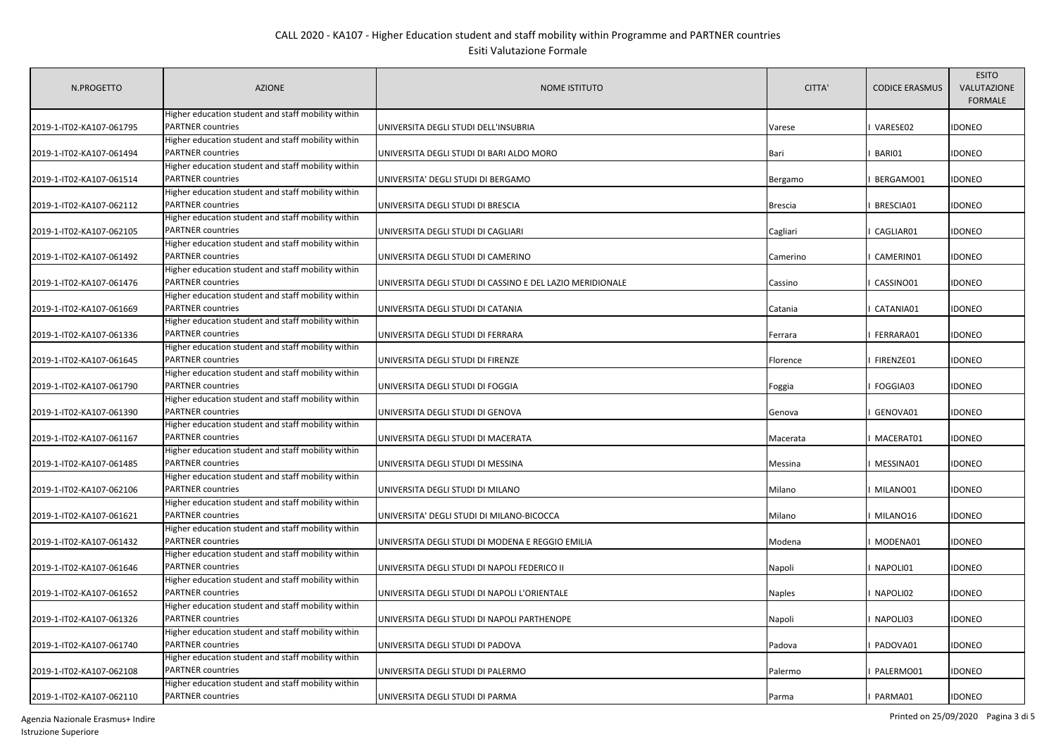| N.PROGETTO               | <b>AZIONE</b>                                                                  | <b>NOME ISTITUTO</b>                                      | CITTA'   | <b>CODICE ERASMUS</b> | <b>ESITO</b><br>VALUTAZIONE<br><b>FORMALE</b> |
|--------------------------|--------------------------------------------------------------------------------|-----------------------------------------------------------|----------|-----------------------|-----------------------------------------------|
| 2019-1-IT02-KA107-061795 | Higher education student and staff mobility within<br><b>PARTNER countries</b> | UNIVERSITA DEGLI STUDI DELL'INSUBRIA                      | Varese   | VARESE02              | <b>IDONEO</b>                                 |
|                          | Higher education student and staff mobility within                             |                                                           |          |                       |                                               |
| 2019-1-IT02-KA107-061494 | <b>PARTNER countries</b>                                                       | UNIVERSITA DEGLI STUDI DI BARI ALDO MORO                  | Bari     | BARI01                | <b>IDONEO</b>                                 |
|                          | Higher education student and staff mobility within                             |                                                           |          |                       |                                               |
| 2019-1-IT02-KA107-061514 | <b>PARTNER</b> countries                                                       | UNIVERSITA' DEGLI STUDI DI BERGAMO                        | Bergamo  | BERGAMO01             | <b>IDONEO</b>                                 |
|                          | Higher education student and staff mobility within                             |                                                           |          |                       |                                               |
| 2019-1-IT02-KA107-062112 | <b>PARTNER countries</b>                                                       | UNIVERSITA DEGLI STUDI DI BRESCIA                         | Brescia  | BRESCIA01             | <b>IDONEO</b>                                 |
|                          | Higher education student and staff mobility within                             |                                                           |          |                       |                                               |
| 2019-1-IT02-KA107-062105 | <b>PARTNER</b> countries                                                       | UNIVERSITA DEGLI STUDI DI CAGLIARI                        | Cagliari | CAGLIAR01             | <b>IDONEO</b>                                 |
|                          | Higher education student and staff mobility within                             |                                                           |          |                       |                                               |
| 2019-1-IT02-KA107-061492 | <b>PARTNER countries</b>                                                       | UNIVERSITA DEGLI STUDI DI CAMERINO                        | Camerino | CAMERIN01             | <b>IDONEO</b>                                 |
|                          | Higher education student and staff mobility within                             |                                                           |          |                       |                                               |
| 2019-1-IT02-KA107-061476 | <b>PARTNER countries</b>                                                       | UNIVERSITA DEGLI STUDI DI CASSINO E DEL LAZIO MERIDIONALE | Cassino  | CASSINO01             | <b>IDONEO</b>                                 |
|                          | Higher education student and staff mobility within                             |                                                           |          |                       |                                               |
| 2019-1-IT02-KA107-061669 | <b>PARTNER countries</b>                                                       | UNIVERSITA DEGLI STUDI DI CATANIA                         | Catania  | CATANIA01             | <b>IDONEO</b>                                 |
|                          | Higher education student and staff mobility within                             |                                                           |          |                       |                                               |
| 2019-1-IT02-KA107-061336 | <b>PARTNER countries</b>                                                       | UNIVERSITA DEGLI STUDI DI FERRARA                         | Ferrara  | FERRARA01             | <b>IDONEO</b>                                 |
|                          | Higher education student and staff mobility within                             |                                                           |          |                       |                                               |
| 2019-1-IT02-KA107-061645 | <b>PARTNER countries</b>                                                       | UNIVERSITA DEGLI STUDI DI FIRENZE                         | Florence | FIRENZE01             | <b>IDONEO</b>                                 |
|                          | Higher education student and staff mobility within                             |                                                           |          |                       |                                               |
| 2019-1-IT02-KA107-061790 | <b>PARTNER countries</b>                                                       | UNIVERSITA DEGLI STUDI DI FOGGIA                          | Foggia   | FOGGIA03              | <b>IDONEO</b>                                 |
|                          | Higher education student and staff mobility within                             |                                                           |          |                       |                                               |
| 2019-1-IT02-KA107-061390 | <b>PARTNER countries</b>                                                       | UNIVERSITA DEGLI STUDI DI GENOVA                          | Genova   | GENOVA01              | <b>IDONEO</b>                                 |
|                          | Higher education student and staff mobility within                             |                                                           |          |                       |                                               |
| 2019-1-IT02-KA107-061167 | <b>PARTNER countries</b>                                                       | UNIVERSITA DEGLI STUDI DI MACERATA                        | Macerata | MACERAT01             | <b>IDONEO</b>                                 |
|                          | Higher education student and staff mobility within<br><b>PARTNER countries</b> |                                                           |          |                       |                                               |
| 2019-1-IT02-KA107-061485 | Higher education student and staff mobility within                             | UNIVERSITA DEGLI STUDI DI MESSINA                         | Messina  | MESSINA01             | <b>IDONEO</b>                                 |
| 2019-1-IT02-KA107-062106 | <b>PARTNER countries</b>                                                       | UNIVERSITA DEGLI STUDI DI MILANO                          | Milano   | MILANO01              | <b>IDONEO</b>                                 |
|                          | Higher education student and staff mobility within                             |                                                           |          |                       |                                               |
| 2019-1-IT02-KA107-061621 | <b>PARTNER countries</b>                                                       | UNIVERSITA' DEGLI STUDI DI MILANO-BICOCCA                 | Milano   | MILANO16              | <b>IDONEO</b>                                 |
|                          | Higher education student and staff mobility within                             |                                                           |          |                       |                                               |
| 2019-1-IT02-KA107-061432 | <b>PARTNER countries</b>                                                       | UNIVERSITA DEGLI STUDI DI MODENA E REGGIO EMILIA          | Modena   | MODENA01              | <b>IDONEO</b>                                 |
|                          | Higher education student and staff mobility within                             |                                                           |          |                       |                                               |
| 2019-1-IT02-KA107-061646 | <b>PARTNER</b> countries                                                       | UNIVERSITA DEGLI STUDI DI NAPOLI FEDERICO II              | Napoli   | NAPOLI01              | <b>IDONEO</b>                                 |
|                          | Higher education student and staff mobility within                             |                                                           |          |                       |                                               |
| 2019-1-IT02-KA107-061652 | <b>PARTNER</b> countries                                                       | UNIVERSITA DEGLI STUDI DI NAPOLI L'ORIENTALE              | Naples   | NAPOLI02              | <b>IDONEO</b>                                 |
|                          | Higher education student and staff mobility within                             |                                                           |          |                       |                                               |
| 2019-1-IT02-KA107-061326 | <b>PARTNER countries</b>                                                       | UNIVERSITA DEGLI STUDI DI NAPOLI PARTHENOPE               | Napoli   | NAPOLI03              | <b>IDONEO</b>                                 |
|                          | Higher education student and staff mobility within                             |                                                           |          |                       |                                               |
| 2019-1-IT02-KA107-061740 | <b>PARTNER countries</b>                                                       | UNIVERSITA DEGLI STUDI DI PADOVA                          | Padova   | PADOVA01              | <b>IDONEO</b>                                 |
|                          | Higher education student and staff mobility within                             |                                                           |          |                       |                                               |
| 2019-1-IT02-KA107-062108 | <b>PARTNER countries</b>                                                       | UNIVERSITA DEGLI STUDI DI PALERMO                         | Palermo  | PALERMO01             | <b>IDONEO</b>                                 |
|                          | Higher education student and staff mobility within                             |                                                           |          |                       |                                               |
| 2019-1-IT02-KA107-062110 | <b>PARTNER countries</b>                                                       | UNIVERSITA DEGLI STUDI DI PARMA                           | Parma    | PARMA01               | <b>IDONEO</b>                                 |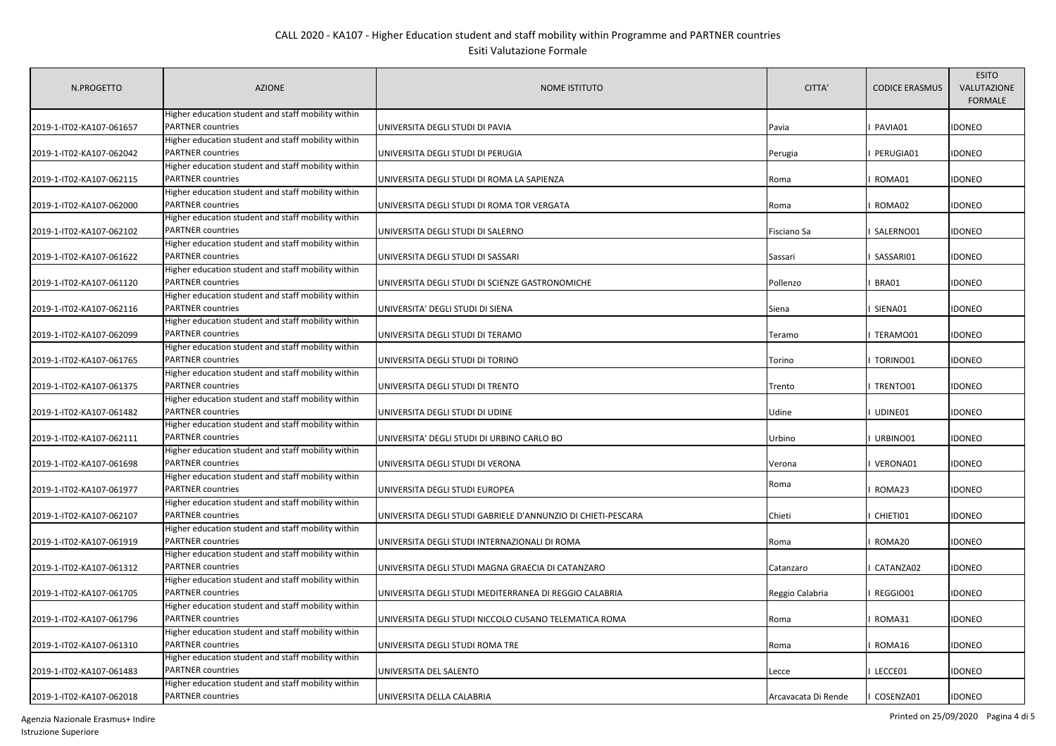| N.PROGETTO               | <b>AZIONE</b>                                                                  | <b>NOME ISTITUTO</b>                                         | CITTA'              | <b>CODICE ERASMUS</b> | <b>ESITO</b><br>VALUTAZIONE<br><b>FORMALE</b> |
|--------------------------|--------------------------------------------------------------------------------|--------------------------------------------------------------|---------------------|-----------------------|-----------------------------------------------|
| 2019-1-IT02-KA107-061657 | Higher education student and staff mobility within<br><b>PARTNER countries</b> | UNIVERSITA DEGLI STUDI DI PAVIA                              | Pavia               | PAVIA01               | <b>IDONEO</b>                                 |
|                          | Higher education student and staff mobility within                             |                                                              |                     |                       |                                               |
| 2019-1-IT02-KA107-062042 | PARTNER countries                                                              | UNIVERSITA DEGLI STUDI DI PERUGIA                            | Perugia             | PERUGIA01             | <b>IDONEO</b>                                 |
|                          | Higher education student and staff mobility within                             |                                                              |                     |                       |                                               |
| 2019-1-IT02-KA107-062115 | PARTNER countries                                                              | UNIVERSITA DEGLI STUDI DI ROMA LA SAPIENZA                   | Roma                | ROMA01                | <b>IDONEO</b>                                 |
|                          | Higher education student and staff mobility within                             |                                                              |                     |                       |                                               |
| 2019-1-IT02-KA107-062000 | <b>PARTNER</b> countries                                                       | UNIVERSITA DEGLI STUDI DI ROMA TOR VERGATA                   | Roma                | ROMA02                | <b>IDONEO</b>                                 |
|                          | Higher education student and staff mobility within                             |                                                              |                     |                       |                                               |
| 2019-1-IT02-KA107-062102 | PARTNER countries                                                              | UNIVERSITA DEGLI STUDI DI SALERNO                            | Fisciano Sa         | SALERNO01             | <b>IDONEO</b>                                 |
|                          | Higher education student and staff mobility within                             |                                                              |                     |                       |                                               |
| 2019-1-IT02-KA107-061622 | <b>PARTNER</b> countries                                                       | UNIVERSITA DEGLI STUDI DI SASSARI                            | Sassari             | SASSARI01             | <b>IDONEO</b>                                 |
|                          | Higher education student and staff mobility within                             |                                                              |                     |                       |                                               |
| 2019-1-IT02-KA107-061120 | PARTNER countries                                                              | UNIVERSITA DEGLI STUDI DI SCIENZE GASTRONOMICHE              | Pollenzo            | BRA01                 | <b>IDONEO</b>                                 |
|                          | Higher education student and staff mobility within                             |                                                              |                     |                       |                                               |
| 2019-1-IT02-KA107-062116 | <b>PARTNER</b> countries                                                       | UNIVERSITA' DEGLI STUDI DI SIENA                             | Siena               | SIENA01               | <b>IDONEO</b>                                 |
|                          | Higher education student and staff mobility within                             |                                                              |                     |                       |                                               |
| 2019-1-IT02-KA107-062099 | PARTNER countries                                                              | UNIVERSITA DEGLI STUDI DI TERAMO                             | Teramo              | TERAMO01              | <b>IDONEO</b>                                 |
|                          | Higher education student and staff mobility within                             |                                                              |                     |                       |                                               |
| 2019-1-IT02-KA107-061765 | <b>PARTNER countries</b>                                                       | UNIVERSITA DEGLI STUDI DI TORINO                             | Torino              | TORINO01              | <b>IDONEO</b>                                 |
|                          | Higher education student and staff mobility within                             |                                                              |                     |                       |                                               |
| 2019-1-IT02-KA107-061375 | PARTNER countries                                                              | UNIVERSITA DEGLI STUDI DI TRENTO                             | Trento              | TRENTO01              | <b>IDONEO</b>                                 |
|                          | Higher education student and staff mobility within                             |                                                              |                     |                       |                                               |
| 2019-1-IT02-KA107-061482 | PARTNER countries                                                              | UNIVERSITA DEGLI STUDI DI UDINE                              | Udine               | UDINE01               | <b>IDONEO</b>                                 |
|                          | Higher education student and staff mobility within                             |                                                              |                     |                       |                                               |
| 2019-1-IT02-KA107-062111 | PARTNER countries                                                              | UNIVERSITA' DEGLI STUDI DI URBINO CARLO BO                   | Urbino              | URBINO01              | <b>IDONEO</b>                                 |
|                          | Higher education student and staff mobility within                             |                                                              |                     |                       |                                               |
| 2019-1-IT02-KA107-061698 | <b>PARTNER countries</b>                                                       | UNIVERSITA DEGLI STUDI DI VERONA                             | Verona              | VERONA01              | <b>IDONEO</b>                                 |
|                          | Higher education student and staff mobility within                             |                                                              |                     |                       |                                               |
| 2019-1-IT02-KA107-061977 | <b>PARTNER countries</b>                                                       | UNIVERSITA DEGLI STUDI EUROPEA                               | Roma                | ROMA23                | <b>IDONEO</b>                                 |
|                          | Higher education student and staff mobility within                             |                                                              |                     |                       |                                               |
| 2019-1-IT02-KA107-062107 | <b>PARTNER countries</b>                                                       | UNIVERSITA DEGLI STUDI GABRIELE D'ANNUNZIO DI CHIETI-PESCARA | Chieti              | CHIETI01              | <b>IDONEO</b>                                 |
|                          | Higher education student and staff mobility within                             |                                                              |                     |                       |                                               |
| 2019-1-IT02-KA107-061919 | <b>PARTNER</b> countries                                                       | UNIVERSITA DEGLI STUDI INTERNAZIONALI DI ROMA                | Roma                | ROMA20                | <b>IDONEO</b>                                 |
|                          | Higher education student and staff mobility within                             |                                                              |                     |                       |                                               |
| 2019-1-IT02-KA107-061312 | <b>PARTNER countries</b>                                                       | UNIVERSITA DEGLI STUDI MAGNA GRAECIA DI CATANZARO            | Catanzaro           | CATANZA02             | <b>IDONEO</b>                                 |
|                          | Higher education student and staff mobility within                             |                                                              |                     |                       |                                               |
| 2019-1-IT02-KA107-061705 | <b>PARTNER</b> countries                                                       | UNIVERSITA DEGLI STUDI MEDITERRANEA DI REGGIO CALABRIA       | Reggio Calabria     | REGGIO01              | <b>IDONEO</b>                                 |
|                          | Higher education student and staff mobility within                             |                                                              |                     |                       |                                               |
| 2019-1-IT02-KA107-061796 | <b>PARTNER countries</b>                                                       | UNIVERSITA DEGLI STUDI NICCOLO CUSANO TELEMATICA ROMA        | Roma                | ROMA31                | <b>IDONEO</b>                                 |
|                          | Higher education student and staff mobility within                             |                                                              |                     |                       |                                               |
| 2019-1-IT02-KA107-061310 | <b>PARTNER countries</b>                                                       | UNIVERSITA DEGLI STUDI ROMA TRE                              | Roma                | ROMA16                | <b>IDONEO</b>                                 |
|                          | Higher education student and staff mobility within                             |                                                              |                     |                       |                                               |
| 2019-1-IT02-KA107-061483 | <b>PARTNER countries</b>                                                       | UNIVERSITA DEL SALENTO                                       | Lecce               | LECCE01               | <b>IDONEO</b>                                 |
|                          | Higher education student and staff mobility within                             |                                                              |                     |                       |                                               |
| 2019-1-IT02-KA107-062018 | <b>PARTNER countries</b>                                                       | UNIVERSITA DELLA CALABRIA                                    | Arcavacata Di Rende | COSENZA01             | <b>IDONEO</b>                                 |